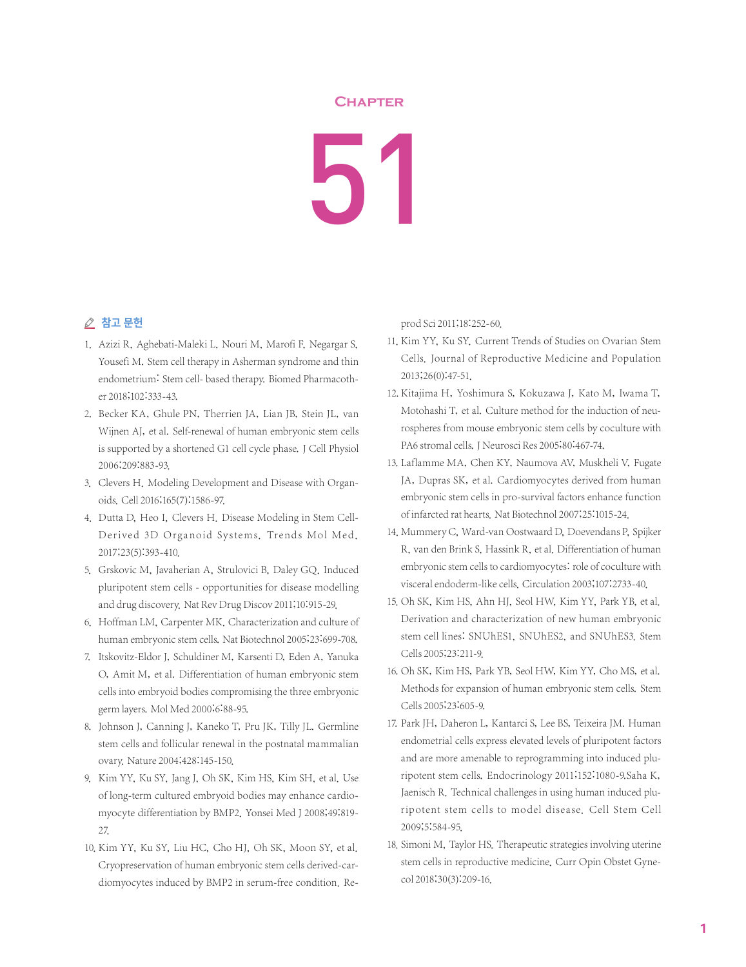## **Chapter**

51

## ⊘ 참고 문헌

- 1. Azizi R, Aghebati-Maleki L, Nouri M, Marofi F, Negargar S, Yousefi M. Stem cell therapy in Asherman syndrome and thin endometrium: Stem cell- based therapy. Biomed Pharmacother 2018;102:333-43.
- 2. Becker KA, Ghule PN, Therrien JA, Lian JB, Stein JL, van Wijnen AJ, et al. Self-renewal of human embryonic stem cells is supported by a shortened G1 cell cycle phase. J Cell Physiol 2006;209:883-93.
- 3. Clevers H. Modeling Development and Disease with Organoids. Cell 2016;165(7):1586-97.
- 4. Dutta D, Heo I, Clevers H. Disease Modeling in Stem Cell-Derived 3D Organoid Systems. Trends Mol Med. 2017;23(5):393-410.
- 5. Grskovic M, Javaherian A, Strulovici B, Daley GQ. Induced pluripotent stem cells - opportunities for disease modelling and drug discovery. Nat Rev Drug Discov 2011;10:915-29.
- 6. Hoffman LM, Carpenter MK. Characterization and culture of human embryonic stem cells. Nat Biotechnol 2005;23:699-708.
- 7. Itskovitz-Eldor J, Schuldiner M, Karsenti D, Eden A, Yanuka O, Amit M, et al. Differentiation of human embryonic stem cells into embryoid bodies compromising the three embryonic germ layers. Mol Med 2000;6:88-95.
- 8. Johnson J, Canning J, Kaneko T, Pru JK, Tilly JL. Germline stem cells and follicular renewal in the postnatal mammalian ovary. Nature 2004;428:145-150.
- 9. Kim YY, Ku SY, Jang J, Oh SK, Kim HS, Kim SH, et al. Use of long-term cultured embryoid bodies may enhance cardiomyocyte differentiation by BMP2. Yonsei Med J 2008;49:819- 27.
- 10. Kim YY, Ku SY, Liu HC, Cho HJ, Oh SK, Moon SY, et al. Cryopreservation of human embryonic stem cells derived-cardiomyocytes induced by BMP2 in serum-free condition. Re-

prod Sci 2011;18:252-60.

- 11. Kim YY, Ku SY. Current Trends of Studies on Ovarian Stem Cells. Journal of Reproductive Medicine and Population 2013;26(0):47-51.
- 12. Kitajima H, Yoshimura S, Kokuzawa J, Kato M, Iwama T, Motohashi T, et al. Culture method for the induction of neurospheres from mouse embryonic stem cells by coculture with PA6 stromal cells. J Neurosci Res 2005;80:467-74.
- 13. Laflamme MA, Chen KY, Naumova AV, Muskheli V, Fugate JA, Dupras SK, et al. Cardiomyocytes derived from human embryonic stem cells in pro-survival factors enhance function of infarcted rat hearts. Nat Biotechnol 2007;25:1015-24.
- 14. Mummery C, Ward-van Oostwaard D, Doevendans P, Spijker R, van den Brink S, Hassink R, et al. Differentiation of human embryonic stem cells to cardiomyocytes: role of coculture with visceral endoderm-like cells. Circulation 2003;107:2733-40.
- 15. Oh SK, Kim HS, Ahn HJ, Seol HW, Kim YY, Park YB, et al. Derivation and characterization of new human embryonic stem cell lines: SNUhES1, SNUhES2, and SNUhES3. Stem Cells 2005;23:211-9.
- 16. Oh SK, Kim HS, Park YB, Seol HW, Kim YY, Cho MS, et al. Methods for expansion of human embryonic stem cells. Stem Cells 2005;23:605-9.
- 17. Park JH, Daheron L, Kantarci S, Lee BS, Teixeira JM. Human endometrial cells express elevated levels of pluripotent factors and are more amenable to reprogramming into induced pluripotent stem cells. Endocrinology 2011;152:1080-9.Saha K, Jaenisch R. Technical challenges in using human induced pluripotent stem cells to model disease. Cell Stem Cell 2009;5:584-95.
- 18. Simoni M, Taylor HS. Therapeutic strategies involving uterine stem cells in reproductive medicine. Curr Opin Obstet Gynecol 2018;30(3):209-16.